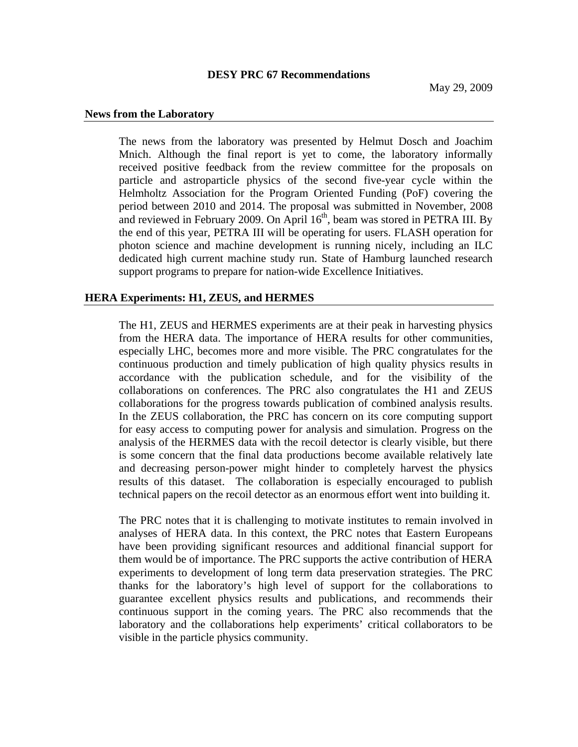## **DESY PRC 67 Recommendations**

### **News from the Laboratory**

The news from the laboratory was presented by Helmut Dosch and Joachim Mnich. Although the final report is yet to come, the laboratory informally received positive feedback from the review committee for the proposals on particle and astroparticle physics of the second five-year cycle within the Helmholtz Association for the Program Oriented Funding (PoF) covering the period between 2010 and 2014. The proposal was submitted in November, 2008 and reviewed in February 2009. On April  $16<sup>th</sup>$ , beam was stored in PETRA III. By the end of this year, PETRA III will be operating for users. FLASH operation for photon science and machine development is running nicely, including an ILC dedicated high current machine study run. State of Hamburg launched research support programs to prepare for nation-wide Excellence Initiatives.

# **HERA Experiments: H1, ZEUS, and HERMES**

The H1, ZEUS and HERMES experiments are at their peak in harvesting physics from the HERA data. The importance of HERA results for other communities, especially LHC, becomes more and more visible. The PRC congratulates for the continuous production and timely publication of high quality physics results in accordance with the publication schedule, and for the visibility of the collaborations on conferences. The PRC also congratulates the H1 and ZEUS collaborations for the progress towards publication of combined analysis results. In the ZEUS collaboration, the PRC has concern on its core computing support for easy access to computing power for analysis and simulation. Progress on the analysis of the HERMES data with the recoil detector is clearly visible, but there is some concern that the final data productions become available relatively late and decreasing person-power might hinder to completely harvest the physics results of this dataset. The collaboration is especially encouraged to publish technical papers on the recoil detector as an enormous effort went into building it.

The PRC notes that it is challenging to motivate institutes to remain involved in analyses of HERA data. In this context, the PRC notes that Eastern Europeans have been providing significant resources and additional financial support for them would be of importance. The PRC supports the active contribution of HERA experiments to development of long term data preservation strategies. The PRC thanks for the laboratory's high level of support for the collaborations to guarantee excellent physics results and publications, and recommends their continuous support in the coming years. The PRC also recommends that the laboratory and the collaborations help experiments' critical collaborators to be visible in the particle physics community.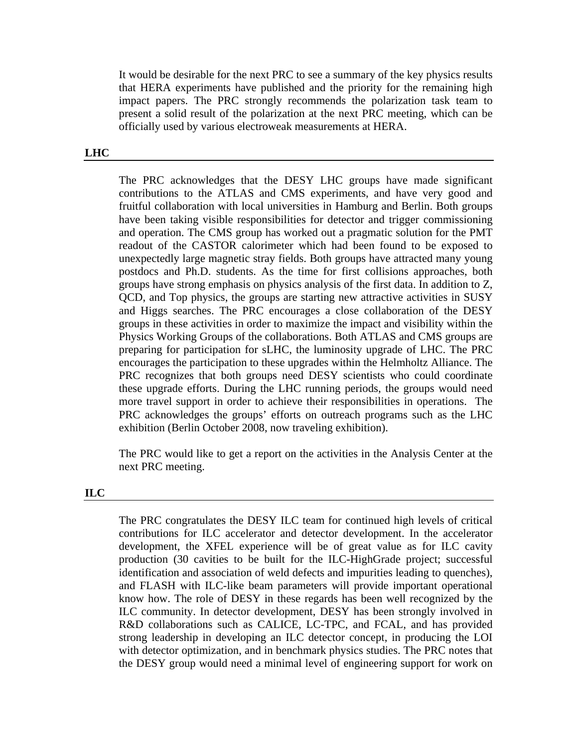It would be desirable for the next PRC to see a summary of the key physics results that HERA experiments have published and the priority for the remaining high impact papers. The PRC strongly recommends the polarization task team to present a solid result of the polarization at the next PRC meeting, which can be officially used by various electroweak measurements at HERA.

# **LHC**

The PRC acknowledges that the DESY LHC groups have made significant contributions to the ATLAS and CMS experiments, and have very good and fruitful collaboration with local universities in Hamburg and Berlin. Both groups have been taking visible responsibilities for detector and trigger commissioning and operation. The CMS group has worked out a pragmatic solution for the PMT readout of the CASTOR calorimeter which had been found to be exposed to unexpectedly large magnetic stray fields. Both groups have attracted many young postdocs and Ph.D. students. As the time for first collisions approaches, both groups have strong emphasis on physics analysis of the first data. In addition to Z, QCD, and Top physics, the groups are starting new attractive activities in SUSY and Higgs searches. The PRC encourages a close collaboration of the DESY groups in these activities in order to maximize the impact and visibility within the Physics Working Groups of the collaborations. Both ATLAS and CMS groups are preparing for participation for sLHC, the luminosity upgrade of LHC. The PRC encourages the participation to these upgrades within the Helmholtz Alliance. The PRC recognizes that both groups need DESY scientists who could coordinate these upgrade efforts. During the LHC running periods, the groups would need more travel support in order to achieve their responsibilities in operations. The PRC acknowledges the groups' efforts on outreach programs such as the LHC exhibition (Berlin October 2008, now traveling exhibition).

The PRC would like to get a report on the activities in the Analysis Center at the next PRC meeting.

#### **ILC**

The PRC congratulates the DESY ILC team for continued high levels of critical contributions for ILC accelerator and detector development. In the accelerator development, the XFEL experience will be of great value as for ILC cavity production (30 cavities to be built for the ILC-HighGrade project; successful identification and association of weld defects and impurities leading to quenches), and FLASH with ILC-like beam parameters will provide important operational know how. The role of DESY in these regards has been well recognized by the ILC community. In detector development, DESY has been strongly involved in R&D collaborations such as CALICE, LC-TPC, and FCAL, and has provided strong leadership in developing an ILC detector concept, in producing the LOI with detector optimization, and in benchmark physics studies. The PRC notes that the DESY group would need a minimal level of engineering support for work on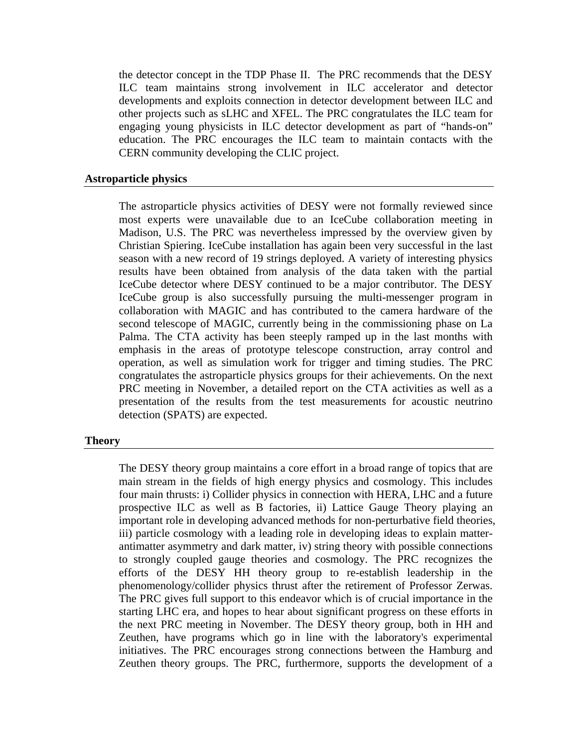the detector concept in the TDP Phase II. The PRC recommends that the DESY ILC team maintains strong involvement in ILC accelerator and detector developments and exploits connection in detector development between ILC and other projects such as sLHC and XFEL. The PRC congratulates the ILC team for engaging young physicists in ILC detector development as part of "hands-on" education. The PRC encourages the ILC team to maintain contacts with the CERN community developing the CLIC project.

### **Astroparticle physics**

The astroparticle physics activities of DESY were not formally reviewed since most experts were unavailable due to an IceCube collaboration meeting in Madison, U.S. The PRC was nevertheless impressed by the overview given by Christian Spiering. IceCube installation has again been very successful in the last season with a new record of 19 strings deployed. A variety of interesting physics results have been obtained from analysis of the data taken with the partial IceCube detector where DESY continued to be a major contributor. The DESY IceCube group is also successfully pursuing the multi-messenger program in collaboration with MAGIC and has contributed to the camera hardware of the second telescope of MAGIC, currently being in the commissioning phase on La Palma. The CTA activity has been steeply ramped up in the last months with emphasis in the areas of prototype telescope construction, array control and operation, as well as simulation work for trigger and timing studies. The PRC congratulates the astroparticle physics groups for their achievements. On the next PRC meeting in November, a detailed report on the CTA activities as well as a presentation of the results from the test measurements for acoustic neutrino detection (SPATS) are expected.

### **Theory**

The DESY theory group maintains a core effort in a broad range of topics that are main stream in the fields of high energy physics and cosmology. This includes four main thrusts: i) Collider physics in connection with HERA, LHC and a future prospective ILC as well as B factories, ii) Lattice Gauge Theory playing an important role in developing advanced methods for non-perturbative field theories, iii) particle cosmology with a leading role in developing ideas to explain matterantimatter asymmetry and dark matter, iv) string theory with possible connections to strongly coupled gauge theories and cosmology. The PRC recognizes the efforts of the DESY HH theory group to re-establish leadership in the phenomenology/collider physics thrust after the retirement of Professor Zerwas. The PRC gives full support to this endeavor which is of crucial importance in the starting LHC era, and hopes to hear about significant progress on these efforts in the next PRC meeting in November. The DESY theory group, both in HH and Zeuthen, have programs which go in line with the laboratory's experimental initiatives. The PRC encourages strong connections between the Hamburg and Zeuthen theory groups. The PRC, furthermore, supports the development of a